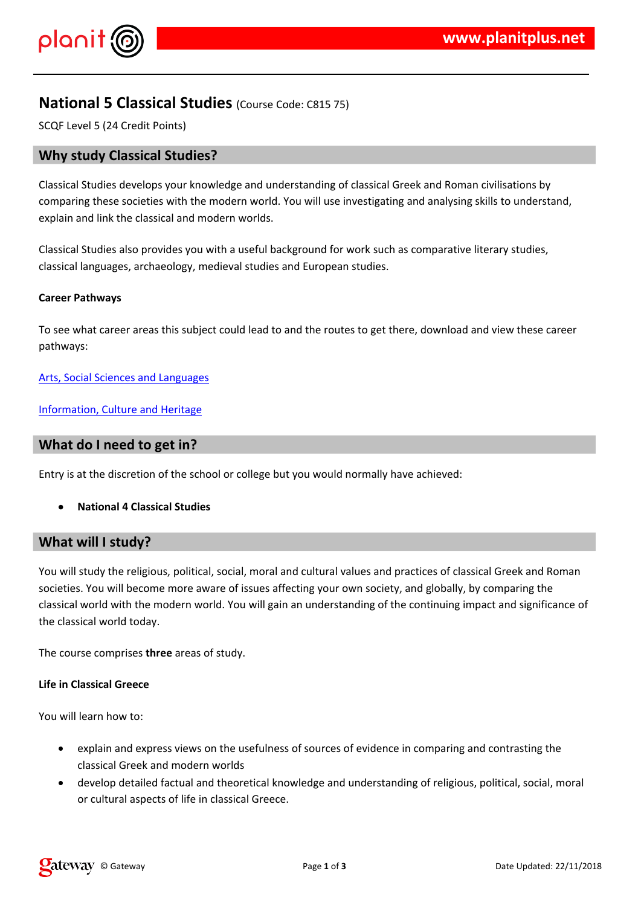$\frac{1}{2}$  # \$ % % &

# %'# % "# && #& %<mark>&# %'#)(\*&& '%"%#% %</mark><br>'\* %& , '% ,%\* & ,#-.%##%&" %& %&# %& &(%##& ,  $0$  # % & & '##% & % & ,# \* &  $#$  -

 $\#$  %  $\#$  %  $\%$  %  $\#$  %  $\#$  %  $\#$  +  $\%$  (  $\%$  ,  $\%$  ,  $\frac{1}{2}$  %  $\%$  %  $\%$  $'$ # %' # # & / \*', % # # / & % & % -

 $2$ ,  $+3, \%$   $+4$  & , , , , & # & "% ,

4 / '%%#&' ! &

5 & \* % & / #6 % &

1 & %, % '', %# & # # + # & \*, # # ', % "

%##, #%%'%###/\*&'##"##&'%'#%'#(&)\*&<br>'%%-%##+\*\* % '%&&#'%##/\*&%&,  $'#$  %' #  $*$  %, &, # - %## & & & & % & \_, ' & % & % & % \* ,  $'#$  %  $'#$ 

 $2, ' ' ' * 96$  $\sim$   $\sim$ 

 $.$  %## # &

 $0$  # % & 0 & "% & , # & "% &%&\* %&& '& %&  $'#$  %' # & \*( & # " #  $\frac{96 \#}{48}$ , #  $\frac{96}{84}$  #  $\frac{1}{84}$  &  $\frac{1}{84}$  &  $\frac{1}{84}$  &  $\frac{1}{84}$  &  $\frac{1}{84}$  &  $\frac{1}{84}$  &  $\frac{1}{84}$  &  $\frac{1}{84}$  &  $\frac{1}{84}$  &  $\frac{1}{84}$  &  $\frac{1}{84}$  &  $\frac{1}{84}$  &  $\frac{1}{84}$  &  $\frac{1}{84}$  &  $\frac{$  $'$  # #  $\#$  %  $'\#$  % &%  $'$  #  $'$  -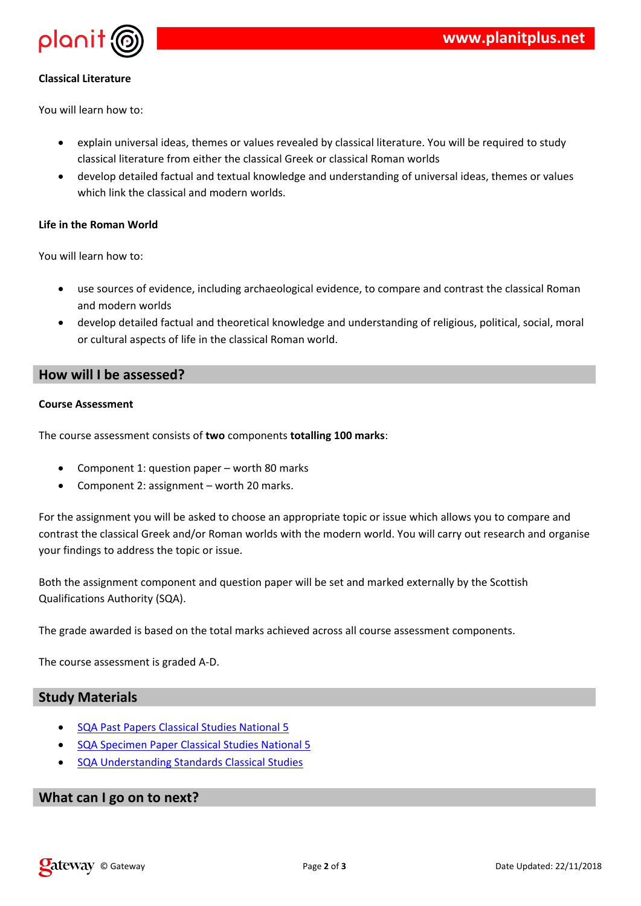$\frac{9}{6}$  # #  $\frac{4}{7}$  &

0 # %& & %", \*# % " #/ " # + '# %' # #%  $-\frac{9}{6}$  $1, 96'$ ,  $\# 968$  ( , '#  $96'$  #  $\# 8 - *$  8

 $\overline{\phantom{a}}$   $\overline{\phantom{a}}$   $\overline{\phantom{a}}$   $\overline{\phantom{a}}$ 

 $% # # & &$ **Contract** 

> "% &%&'# %,& # %"%# &''/\* & '&  $\alpha=0.1$  $, '#$  % &  $*$  $8 + 4$

%# &', # %('&# # & & & % & # % % /  $'$  # <sup>1</sup> # # # % , % & # }% \* **&** # -

## $\frac{1}{2}$  $\mathbb{S}$

 $8 \t\t\phantom{10} \t\t\#$ 

- $2.$   $\begin{array}{ccc} \ast & 8 & \ast & 8 & \ast & 8 & 8 & \ast \end{array}$  $\begin{array}{cc} \cdot & \# & ( \end{array}$ 
	- $*$  & & 7 % & ,  $*$ 8 (
	- $*$  & &  $%88*8, *$  ( -

, % & \* & ( % # # + & % % % % % # # , % ", \*  $8<sup>o</sup>$  $18$  ,  $14$  %  $14$  (  $84$  %),  $18$  ,  $18$  ,  $14$  ,  $18$  %  $14$  ,  $18$  %  $14$  ,  $18$  %  $14$  ,  $18$  %  $14$  ,  $18$  %  $14$  ,  $18$  %  $14$  ,  $18$  %  $18$  %  $18$  %  $18$  %  $18$  %  $18$  %  $18$  %  $18$  %  $18$  %  $18$  %  $18$  %  $18$  %  $1$  $\%$  &  $\%$  &  $\qquad$ ,  $\%$  '%

9, , %  $8*8$  ' \*  $8878$  %  $8*8#4 + 8*$  ( 0  $8*4# +$  , ' %  $4 -$ # % % % & 4, %

 $\%$  +,  $\frac{8\#}{4}$  (', % "' ## \*' & & & - $2,$ 

 $* 8.94: 2, 1$ 

 $\left( \right)$ 

# %' # % ; % & #  $\overline{4}$  $4 \t 1\t 96 \t * \t 8 \t # \t 96' \t #\t 96 \t ; \t 96 \t 8 \t #$ 4 & 8 % & 8 % % % #

 $\star$